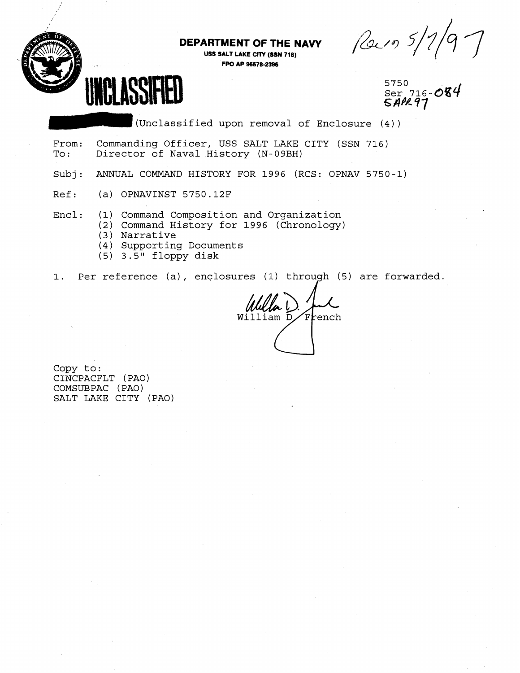**DEPARTMENT OF THE NAW USS SALT LAKE CITY (SSN 716)** 

**FPO AP W78-2396** 

5750<br>Ser. 716-084

(Unclassified upon removal of Enclosure (4) )

- DEPARTMENT OF THE NAVY (21/9 5/7)<br>USS SALT LAKE CITY (SSN 716)<br>SER 716-084<br>Ser 716-084<br>Supplement of Brown and Strate (4)<br>From: Commanding Officer, USS SALT LAKE CITY (SSN 716)<br>To: Director of Naval History (N-09BH)<br>Subj: From: Commanding Officer, USS SALT LAKE CITY (SSN 716)<br>To: Director of Naval History (N-09BH) Director of Naval History (N-09BH)
- Subj: ANNUAL COMMAND HISTORY FOR 1996 (RCS: OPNAV 5750-1)
- Ref: (a) OPNAVINST 5750.12F
- Encl: (1) Command Composition and Organization
	- (2) Command History for 1996 (Chronology)
	- (3) Narrative
	- (4 ) Supporting Documents
	- (5) 3.5" floppy disk

1. Per reference (a) , enclosures (1) through (5) are forwarded.

William D French

Copy to: CINCPACFLT (PAO) COMSUBPAC ( PAO) SALT LAKE CITY (PAO)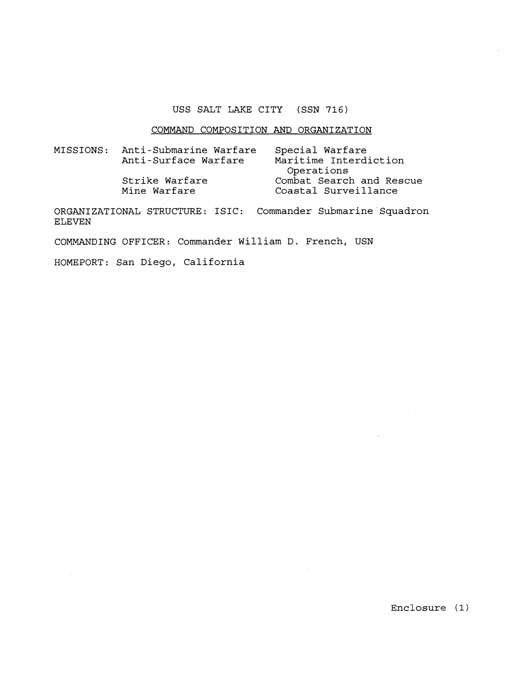# **USS SALT LAKE CITY (SSN 716)**

#### **COMMAND COMPOSITION AND ORGANIZATION**

| MISSIONS: | Anti-Submarine Warfare | Special Warfare<br>Maritime Interdiction |  |  |
|-----------|------------------------|------------------------------------------|--|--|
|           | Anti-Surface Warfare   |                                          |  |  |
|           |                        | Operations                               |  |  |
|           | Strike Warfare         | Combat Search and Rescue                 |  |  |
|           | Mine Warfare           | Coastal Surveillance                     |  |  |

**ORGANIZATIONAL STRUCTURE: ISIC: Commander Submarine'Squadron ELEVEN** 

**COMMANDING OFFICER: Commander William D. French, USN** 

**HOMEPORT: San Diego, California**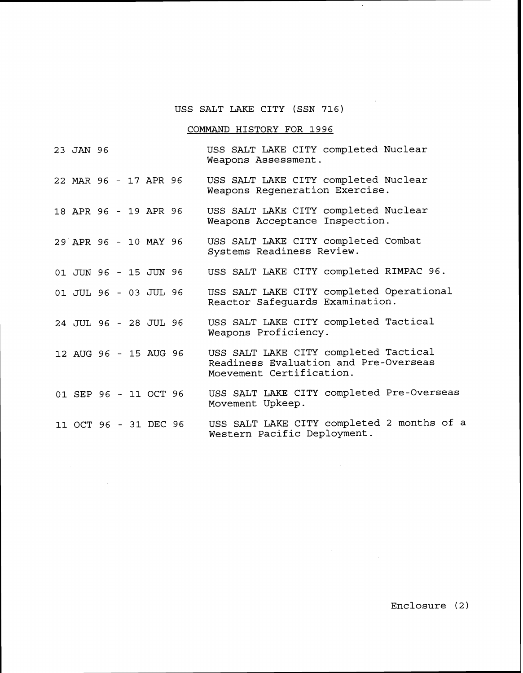## USS SALT LAKE CITY (SSN 716)

 $\cdot$ 

 $\sim$ 

 $\label{eq:2.1} \mathcal{F}_{\mathcal{A}}(x) = \mathcal{F}_{\mathcal{A}}(x) \mathcal{F}_{\mathcal{A}}(x) = \mathcal{F}_{\mathcal{A}}(x)$ 

## COMMAND HISTORY FOR 1996

| 23 JAN 96             |  |  | USS SALT LAKE CITY completed Nuclear<br>Weapons Assessment.                                                |
|-----------------------|--|--|------------------------------------------------------------------------------------------------------------|
| 22 MAR 96 - 17 APR 96 |  |  | USS SALT LAKE CITY completed Nuclear<br>Weapons Regeneration Exercise.                                     |
| 18 APR 96 - 19 APR 96 |  |  | USS SALT LAKE CITY completed Nuclear<br>Weapons Acceptance Inspection.                                     |
| 29 APR 96 - 10 MAY 96 |  |  | USS SALT LAKE CITY completed Combat<br>Systems Readiness Review.                                           |
| 01 JUN 96 - 15 JUN 96 |  |  | USS SALT LAKE CITY completed RIMPAC 96.                                                                    |
| 01 JUL 96 - 03 JUL 96 |  |  | USS SALT LAKE CITY completed Operational<br>Reactor Safequards Examination.                                |
| 24 JUL 96 - 28 JUL 96 |  |  | USS SALT LAKE CITY completed Tactical<br>Weapons Proficiency.                                              |
| 12 AUG 96 - 15 AUG 96 |  |  | USS SALT LAKE CITY completed Tactical<br>Readiness Evaluation and Pre-Overseas<br>Moevement Certification. |
| 01 SEP 96 - 11 OCT 96 |  |  | USS SALT LAKE CITY completed Pre-Overseas<br>Movement Upkeep.                                              |
| 11 OCT 96 - 31 DEC 96 |  |  | USS SALT LAKE CITY completed 2 months of a<br>Western Pacific Deployment.                                  |

 $\sim 10^7$ 

Enclosure (2)